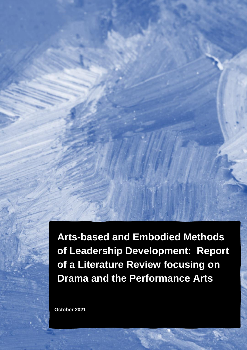**Arts-based and Embodied Methods of Leadership Development: Report of a Literature Review focusing on Drama and the Performance Arts**

1

**October 2021**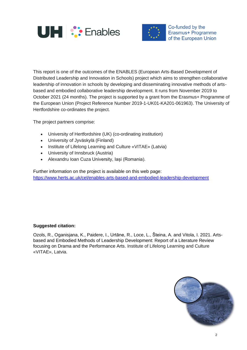



Co-funded by the Erasmus+ Programme of the European Union

This report is one of the outcomes of the ENABLES (European Arts-Based Development of Distributed Leadership and Innovation in Schools) project which aims to strengthen collaborative leadership of innovation in schools by developing and disseminating innovative methods of artsbased and embodied collaborative leadership development. It runs from November 2019 to October 2021 (24 months). The project is supported by a grant from the Erasmus+ Programme of the European Union (Project Reference Number 2019-1-UK01-KA201-061963). The University of Hertfordshire co-ordinates the project.

The project partners comprise:

- University of Hertfordshire (UK) (co-ordinating institution)
- University of Jyväskylä (Finland)
- Institute of Lifelong Learning and Culture «VITAE» (Latvia)
- University of Innsbruck (Austria)
- Alexandru Ioan Cuza University, Iași (Romania).

Further information on the project is available on this web page: <https://www.herts.ac.uk/cel/enables-arts-based-and-embodied-leadership-development>

#### **Suggested citation:**

Ozols, R., Oganisjana, K., Paidere, I., Urtāne, R., Loce, L., Šteina, A. and Vitola, I. 2021. Artsbased and Embodied Methods of Leadership Development: Report of a Literature Review focusing on Drama and the Performance Arts. Institute of Lifelong Learning and Culture «VITAE», Latvia.

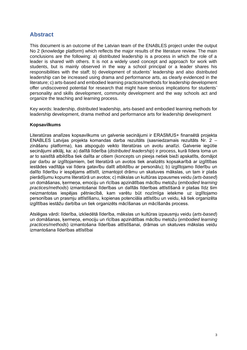# **Abstract**

This document is an outcome of the Latvian team of the ENABLES project under the output No 2 (knowledge platform) which reflects the major results of the literature review. The main conclusions are the following: a) distributed leadership is a process in which the role of a leader is shared with others. It is not a widely used concept and approach for work with students, but is mainly observed in the way a school principal or a leader shares his responsibilities with the staff; b) development of students' leadership and also distributed leadership can be increased using drama and performance arts, as clearly evidenced in the literature; c) arts-based and embodied learning practices/methods for leadership development offer undiscovered potential for research that might have serious implications for students' personality and skills development, community development and the way schools act and organize the teaching and learning process.

Key words: leadership, distributed leadership, arts-based and embodied learning methods for leadership development, drama method and performance arts for leadership development

#### **Kopsavilkums**

Literatūras analīzes kopsavilkums un galvenie secinājumi ir ERASMUS+ finansētā projekta ENABLES Latvijas projekta komandas darba rezultāts (sasniedzamais rezultāts Nr. 2 – zināšanu platforma), kas atspoguļo veikto literatūras un avotu analīzi. Galvenie iegūtie secinājumi atklāj, ka: a) dalītā līderība (*distributed leadership*) ir process, kurā līdera loma un ar to saistītā atbildība tiek dalīta ar citiem (koncepts un pieeja netiek bieži apskatīts, domājot par darbu ar izglītojamiem, bet literatūrā un avotos tiek analizēts kopsakarībā ar izglītības iestādes vadītāja vai līdera gatavību dalīt atbildību ar personālu); b) izglītojamo līderību un dalīto līderību ir iespējams attīstīt, izmantojot drāmu un skatuves mākslas, un tam ir plašs pierādījumu kopums literatūrā un avotos; c) mākslas un kultūras izpausmes veidu *(arts-based*) un domāšanas, ķermeņa, emociju un rīcības apzinātības mācību metožu (*embodied learning practices/methods*) izmantošanai līderības un dalītās līderības attīstīšanā ir plašas līdz šim neizmantotas iespējas pētniecībā, kam varētu būt nozīmīga ietekme uz izglītojamo personības un prasmju attīstīšanu, kopienas potenciāla attīstību un veidu, kā tiek organizēta izglītības iestāžu darbība un tiek organizēts mācīšanas un mācīšanās process.

Atslēgas vārdi: līderība, izkliedētā līderība, mākslas un kultūras izpausmju veidu (*arts-based*) un domāšanas, ķermeņa, emociju un rīcības apzinātības mācību metožu (*embodied learning practices/methods*) izmantošana līderības attīstīšanai, drāmas un skatuves mākslas veidu izmantošana līderības attīstībai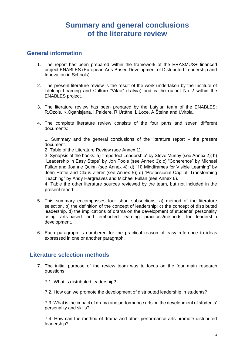# **Summary and general conclusions of the literature review**

#### **General information**

- 1. The report has been prepared within the framework of the ERASMUS+ financed project ENABLES (European Arts-Based Development of Distributed Leadership and Innovation in Schools).
- 2. The present literature review is the result of the work undertaken by the Institute of Lifelong Learning and Culture "Vitae" (Latvia) and is the output No 2 within the ENABLES project.
- 3. The literature review has been prepared by the Latvian team of the ENABLES: R.Ozols, K.Oganisjana, I.Paidere, R.Urtāne, L.Loce, A.Šteina and I.Vitola.
- 4. The complete literature review consists of the four parts and seven different documents:

1. Summary and the general conclusions of the literature report – the present document.

2. Table of the Literature Review (see Annex 1).

3. Synopsis of the books: a) "Imperfect Leadership" by Steve Munby (see Annex 2); b) "Leadership in Easy Steps" by Jon Poole (see Annex 3); c) "Coherence" by Michael Fullan and Joanne Quinn (see Annex 4); d) "10 Mindframes for Visible Learning" by John Hattie and Claus Zierer (see Annex 5); e) "Professional Capital. Transforming Teaching" by Andy Hargreaves and Michael Fullan (see Annex 6).

4. Table the other literature sources reviewed by the team, but not included in the present report.

- 5. This summary encompasses four short subsections: a) method of the literature selection, b) the definition of the concept of leadership; c) the concept of distributed leadership, d) the implications of drama on the development of students' personality using arts-based and embodied learning practices/methods for leadership development.
- 6. Each paragraph is numbered for the practical reason of easy reference to ideas expressed in one or another paragraph.

#### **Literature selection methods**

7. The initial purpose of the review team was to focus on the four main research questions:

7.1. What is distributed leadership?

7.2. How can we promote the development of distributed leadership in students?

7.3. What is the impact of drama and performance arts on the development of students' personality and skills?

7.4. How can the method of drama and other performance arts promote distributed leadership?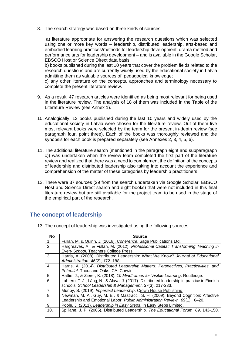8. The search strategy was based on three kinds of sources:

a) literature appropriate for answering the research questions which was selected using one or more key words – leadership, distributed leadership, arts-based and embodied learning practices/methods for leadership development, drama method and performance arts for leadership development – and is available in the Google Scholar, EBSCO Host or Science Direct data basis;

b) books published during the last 10 years that cover the problem fields related to the research questions and are currently widely used by the educational society in Latvia admitting them as valuable sources of pedagogical knowledge;

c) any other literature on the concepts, approaches and terminology necessary to complete the present literature review.

- 9. As a result, 47 research articles were identified as being most relevant for being used in the literature review. The analysis of 18 of them was included in the Table of the Literature Review (see Annex 1).
- 10. Analogically, 13 books published during the last 10 years and widely used by the educational society in Latvia were chosen for the literature review. Out of them five most relevant books were selected by the team for the present in-depth review (see paragraph four, point three). Each of the books was thoroughly reviewed and the synopsis for each book is prepared separately (see Annexes 2, 3, 4, 5, 6).
- 11. The additional literature search (mentioned in the paragraph eight and subparagraph c)) was undertaken when the review team completed the first part of the literature review and realized that there was a need to complement the definition of the concepts of leadership and distributed leadership also taking into account the experience and comprehension of the matter of these categories by leadership practitioners.
- 12. There were 37 sources (29 from the search undertaken via Google Scholar, EBSCO Host and Science Direct search and eight books) that were not included in this final literature review but are still available for the project team to be used in the stage of the empirical part of the research.

## **The concept of leadership**

13. The concept of leadership was investigated using the following sources:

| <b>No</b>      | <b>Source</b>                                                                               |
|----------------|---------------------------------------------------------------------------------------------|
| 1.             | Fullan, M. & Quinn, J. (2016). Coherence. Sage Publications Ltd.                            |
| $\mathbf{2}$ . | Hargreaves, A., & Fullan, M. (2012). Professional Capital: Transforming Teaching in         |
|                | Every School. Teachers College Press.                                                       |
| 3.             | Harris, A. (2008). Distributed Leadership: What We Know? Journal of Educational             |
|                | Administration, 46(2), 172-188.                                                             |
| 4.             | Harris, A. (2014). Distributed Leadership Matters: Perspectives, Practicalities, and        |
|                | Potential. Thousand Oaks, CA: Corwin.                                                       |
| 5.             | Hattie, J., & Zierer, K. (2018). 10 Mindframes for Visible Learning. Routledge.             |
| 6.             | Lahtero, T. J., Lång, N., & Alava, J. (2017). Distributed leadership in practice in Finnish |
|                | schools. School Leadership & Management, 37(3), 217-233.                                    |
| 7.             | Munby, S. (2019). Imperfect Leadership. Crown House Publishing.                             |
| 8.             | Newman, M. A., Guy, M. E., & Mastracci, S. H. (2009). Beyond Cognition: Affective           |
|                | Leadership and Emotional Labor. Public Administration Review, 69(1), 6-20.                  |
| 9.             | Poole, J. (2011). Leadership in Easy Steps. In Easy Steps Limited.                          |
| 10.            | Spillane, J. P. (2005). Distributed Leadership. The Educational Forum, 69, 143-150.         |
|                |                                                                                             |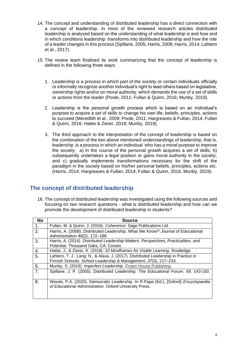- 14. The concept and understanding of distributed leadership has a direct connection with a concept of leadership. In most of the reviewed research articles distributed leadership is analysed based on the understanding of what leadership is and how and in which conditions leadership transforms into distributed leadership and how the role of a leader changes in this process (Spillane, 2005; Harris, 2008; Harris, 2014; Lahtero et al., 2017).
- 15. The review team finalised its work summarizing that the concept of leadership is defined in the following three ways:
	- 1. Leadership is a process in which part of the society or certain individuals officially or informally recognize another individual's right to lead others based on legislative, ownership rights and/or on moral authority, which demands the use of a set of skills or actions from the leader (Poole, 2011; Fullan & Quinn, 2016; Munby, 2019).
	- 2. Leadership is the personal growth process which is based on an individual's purpose to acquire a set of skills to change his own life, beliefs, principles, actions to succeed (Meredtith et al., 2009; Poole, 2011; Hargreaves & Fullan, 2014; Fullan & Quinn, 2016; Hattie & Zierer, 2018; Munby, 2019).
	- 3. The third approach to the interpretation of the concept of leadership is based on the combination of the two above mentioned understandings of leadership, that is, leadership is a process in which an individual who has a moral purpose to improve the society: a) in the course of the personal growth acquires a set of skills; b) subsequently undertakes a legal position or gains moral authority in the society; and c) gradually implements transformations necessary for the shift of the paradigm in the society based on his/her personal beliefs, principles, actions etc. (Harris, 2014; Hargreaves & Fullan, 2014; Fullan & Quinn, 2016; Munby, 2019).

## **The concept of distributed leadership**

16. The concept of distributed leadership was investigated using the following sources and focusing on two research questions - what is distributed leadership and how can we promote the development of distributed leadership in students?

| <b>No</b>      | <b>Source</b>                                                                                                                                        |
|----------------|------------------------------------------------------------------------------------------------------------------------------------------------------|
| 1.             | Fullan, M. & Quinn, J. (2016). Coherence. Sage Publications Ltd.                                                                                     |
| 2.             | Harris, A. (2008). Distributed Leadership: What We Know? Journal of Educational                                                                      |
|                | Administration 46(2), 172-188                                                                                                                        |
| 3.             | Harris, A. (2014). Distributed Leadership Matters: Perspectives, Practicalities, and                                                                 |
|                | Potential. Thousand Oaks, CA: Corwin.                                                                                                                |
| 4.             | Hattie, J., & Zierer, K. (2018). 10 Mindframes for Visible Learning. Routledge.                                                                      |
| 5.             | Lahtero, T. J., Lang, N., & Alava, J. (2017). Distributed Leadership in Practice in                                                                  |
|                | Finnish Schools. School Leadership & Management, 37(3), 217-233.                                                                                     |
| 6.             | Munby, S. (2019). Imperfect Leadership. Crown House Publishing.                                                                                      |
| 7 <sub>1</sub> | Spillane, J. P. (2005). Distributed Leadership. The Educational Forum, 69, 143-150.                                                                  |
| 8.             | Woods, P.A. (2020). Democratic Leadership. In R.Papa (Ed.), [Oxford] <i>Encyclopaedia</i><br>of Educational Administration. Oxford University Press. |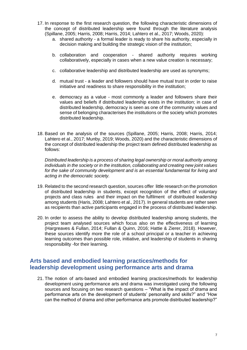- 17. In response to the first research question, the following characteristic dimensions of the concept of distributed leadership were found through the literature analysis (Spillane, 2005; Harris, 2008; Harris, 2014; Lahtero et al., 2017; Woods, 2020):
	- a. shared authority a formal leader is ready to share his authority, especially in decision making and building the strategic vision of the institution;
	- b. collaboration and cooperation shared authority requires working collaboratively, especially in cases when a new value creation is necessary;
	- c. collaborative leadership and distributed leadership are used as synonyms;
	- d. mutual trust a leader and followers should have mutual trust in order to raise initiative and readiness to share responsibility in the institution;
	- e. democracy as a value most commonly a leader and followers share their values and beliefs if distributed leadership exists in the institution; in case of distributed leadership, democracy is seen as one of the community values and sense of belonging characterises the institutions or the society which promotes distributed leadership.
- 18. Based on the analysis of the sources (Spillane, 2005; Harris, 2008; Harris, 2014; Lahtero et al., 2017; Munby, 2019; Woods, 2020) and the characteristic dimensions of the concept of distributed leadership the project team defined distributed leadership as follows:

*Distributed leadership is a process of sharing legal ownership or moral authority among individuals in the society or in the institution, collaborating and creating new joint values for the sake of community development and is an essential fundamental for living and acting in the democratic society.*

- 19. Related to the second research question, sources offer little research on the promotion of distributed leadership in students, except recognition of the effect of voluntary projects and class rules and their impact on the fulfilment of distributed leadership among students (Haris, 2008; Lahtero et al., 2017). In general students are rather seen as recipients than active participants engaged in the process of distributed leadership.
- 20. In order to assess the ability to develop distributed leadership among students, the project team analysed sources which focus also on the effectiveness of learning (Hargreaves & Fullan, 2014; Fullan & Quinn, 2016; Hattie & Zierer, 2018). However, these sources identify more the role of a school principal or a teacher in achieving learning outcomes than possible role, initiative, and leadership of students in sharing responsibility -for their learning.

## **Arts based and embodied learning practices/methods for leadership development using performance arts and drama**

21. The notion of arts-based and embodied learning practices/methods for leadership development using performance arts and drama was investigated using the following sources and focusing on two research questions – "What is the impact of drama and performance arts on the development of students' personality and skills?" and "How can the method of drama and other performance arts promote distributed leadership?"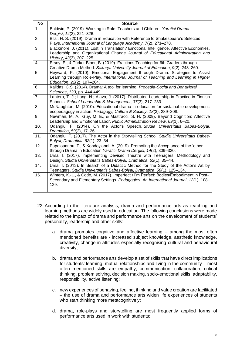| <b>No</b> | <b>Source</b>                                                                                                                                                                                          |
|-----------|--------------------------------------------------------------------------------------------------------------------------------------------------------------------------------------------------------|
| 1.        | Baldwin, P. (2019). Working in Role: Teachers and Children. Yaratici Drama<br>Dergisi, 14(2), 321-326.                                                                                                 |
| 2.        | Bilal, H. S. (2019). Drama in Education with Reference to Shakespeare's Selected<br>Plays. International Journal of Language Academy, 7(2), 271-278.                                                   |
| 3.        | Blackmore, J. (2011). Lost in Translation? Emotional Intelligence, Affective Economies,<br>Leadership and Organizational Change. Journal of Educational Administration and<br>History, 43(3), 207-225. |
| 4.        | Ersoy, E., & Türker Biber, B. (2019). Fractions Teaching for 6th Graders through<br>Creative Drama Method. Sakarya University Journal of Education, 9(2), 243-260.                                     |
| 5.        | Heyward, P. (2010). Emotional Engagement through Drama: Strategies to Assist<br>Learning through Role-Play. International Journal of Teaching and Learning in Higher<br>Education, 22(2), 197-204.     |
| 6.        | Kalidas, C.S. (2014). Drama: A tool for learning. Procedia-Social and Behavioral<br>Sciences, 123, pp. 444-449.                                                                                        |
| 7.        | Lahtero, T. J.; Lang, N.; Alava, J. (2017). Distributed Leadership in Practice in Finnish<br>Schools. School Leadership & Management, 37(3), 217-233.                                                  |
| 8.        | McNaughton, M. (2010). Educational drama in education for sustainable development:<br>ecopedagogy in action. Pedagogy, Culture & Society, 18(3), 289-308.                                              |
| 9.        | Newman, M. A., Guy, M. E., & Mastracci, S. H. (2009). Beyond Cognition: Affective<br>Leadership and Emotional Labor. Public Administration Review, 69(1), 6-20.                                        |
| 10.       | Odangiu, F. (2014). On the Actor's Speech. Studia Universitatis Babes-Bolyai,<br>Dramatica, 59(2), 17-26.                                                                                              |
| 11.       | Odangiu, F. (2017). The Actor in the Storytelling School. Studia Universitatis Babes-<br>Bolyai, Dramatica, 62(1), 23-34.                                                                              |
| 12.       | Papaioannou, T., & Kondoyianni, A. (2019). Promoting the Acceptance of the 'other'<br>through Drama in Education. Yaratici Drama Dergisi, 14(2), 309-320.                                              |
| 13.       | Ursa, I. (2017). Implementing Devised Theatre with Teenagers: Methodology and<br>Design. Studia Universitatis Babes-Bolyai, Dramatica, 62(1), 35-44.                                                   |
| 14.       | Ursa, I. (2013). In Search of a Didactic Method for the Study of the Actor's Art by<br>Teenagers. Studia Universitatis Babes-Bolyai, Dramatica, 58(1), 125-134.                                        |
| 15.       | Winters, K.-L., & Code, M. (2017). Imperfect / I'm Perfect: Bodies/Embodiment in Post-<br>Secondary and Elementary Settings. Pedagogies: An International Journal, 12(1), 108-<br>129.                 |

- 22. According to the literature analysis, drama and performance arts as teaching and learning methods are widely used in education. The following conclusions were made related to the impact of drama and performance arts on the development of students' personality, leadership and other skills:
	- a. drama promotes cognitive and affective learning among the most often mentioned benefits are - increased subject knowledge, aesthetic knowledge, creativity, change in attitudes especially recognising cultural and behavioural diversity;
	- b. drama and performance arts develop a set of skills that have direct implications for students' learning, mutual relationships and living in the community – most often mentioned skills are empathy, communication, collaboration, critical thinking, problem solving, decision making, socio-emotional skills, adaptability, responsibility, active listening;
	- c. new experiences of behaving, feeling, thinking and value creation are facilitated – the use of drama and performance arts widen life experiences of students who start thinking more metacognitively;
	- d. drama, role-plays and storytelling are most frequently applied forms of performance arts used in work with students;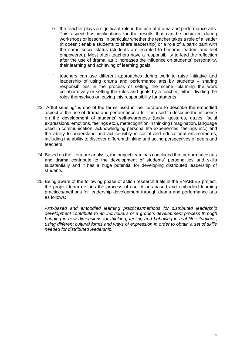- e. the teacher plays a significant role in the use of drama and performance arts. This aspect has implications for the results that can be achieved during workshops or lessons, in particular whether the teacher takes a role of a leader (it doesn't enable students to share leadership) or a role of a participant with the same social status (students are enabled to become leaders and feel empowered). Most often teachers have a responsibility to lead the reflection after the use of drama, as it increases the influence on students' personality, their learning and achieving of learning goals;
- f. teachers can use different approaches during work to raise initiative and leadership of using drama and performance arts by students – sharing responsibilities in the process of setting the scene, planning the work collaboratively or setting the rules and goals by a teacher, either dividing the roles themselves or leaving this responsibility for students.
- 23. "Artful sensing" is one of the terms used in the literature to describe the embodied aspect of the use of drama and performance arts. It is used to describe the influence on the development of students' self-awareness (body, gestures, gazes, facial expressions, emotions, feelings etc.), metacognition in thinking (imagination, language used in communication, acknowledging personal life experiences, feelings etc.) and the ability to understand and act sensibly in social and educational environments, including the ability to discover different thinking and acting perspectives of peers and teachers.
- 24. Based on the literature analysis, the project team has concluded that performance arts and drama contribute to the development of students' personalities and skills substantially and it has a huge potential for developing distributed leadership of students.
- 25. Being aware of the following phase of action research trials in the ENABLES project, the project team defines the process of use of arts-based and embodied learning practices/methods for leadership development through drama and performance arts as follows:

*Arts-based and embodied learning practices/methods for distributed leadership development contribute to an individual's or a group's development process through bringing in new dimensions for thinking, feeling and behaving in real life situations, using different cultural forms and ways of expression in order to obtain a set of skills needed for distributed leadership.*